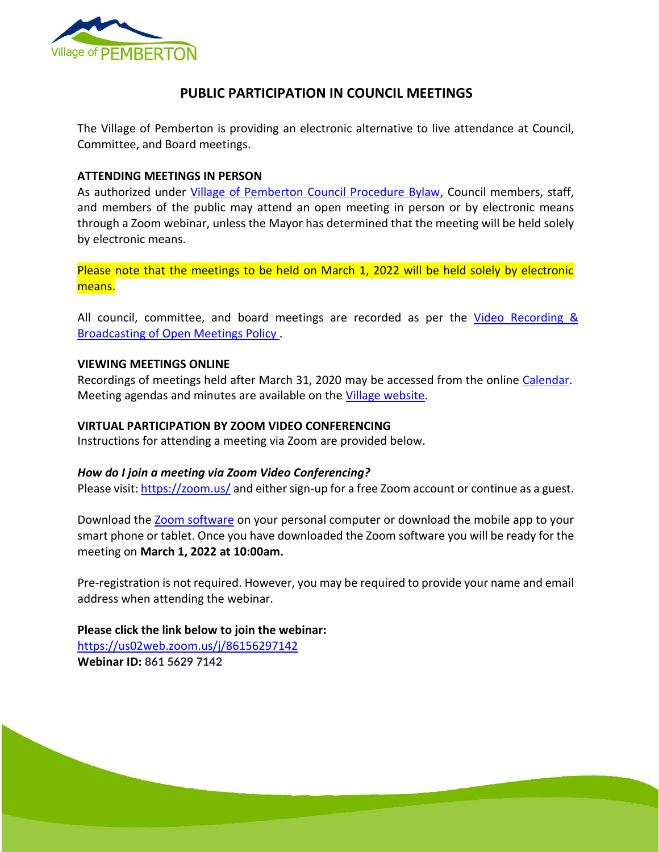

## **PUBLIC PARTICIPATION IN COUNCIL MEETINGS**

The Village of Pemberton is providing an electronic alternative to live attendance at Council, Committee, and Board meetings.

#### **ATTENDING MEETINGS IN PERSON**

As authorized under [Village of Pemberton Council Procedure Bylaw,](https://www.pemberton.ca/public/download/files/194951) Council members, staff, and members of the public may attend an open meeting in person or by electronic means through a Zoom webinar, unless the Mayor has determined that the meeting will be held solely by electronic means.

Please note that the meetings to be held on March 1, 2022 will be held solely by electronic means.

All council, committee, and board meetings are recorded as per the Video Recording & [Broadcasting of Open Meetings Policy .](https://www.pemberton.ca/public/download/files/118762)

#### **VIEWING MEETINGS ONLINE**

Recordings of meetings held after March 31, 2020 may be accessed from the online [Calendar.](https://www.pemberton.ca/municipal-services/calendar) Meeting agendas and minutes are available on the [Village website.](https://www.pemberton.ca/government/documents#category/2769)

## **VIRTUAL PARTICIPATION BY ZOOM VIDEO CONFERENCING**

Instructions for attending a meeting via Zoom are provided below.

## *How do I join a meeting via Zoom Video Conferencing?*

Please visit:<https://zoom.us/> and either sign-up for a free Zoom account or continue as a guest.

Download the **Zoom software** on your personal computer or download the mobile app to your smart phone or tablet. Once you have downloaded the Zoom software you will be ready for the meeting on **March 1, 2022 at 10:00am.** 

Pre-registration is not required. However, you may be required to provide your name and email address when attending the webinar.

Page 1 of 2

**Please click the link below to join the webinar:** <https://us02web.zoom.us/j/86156297142> **Webinar ID: 861 5629 7142**